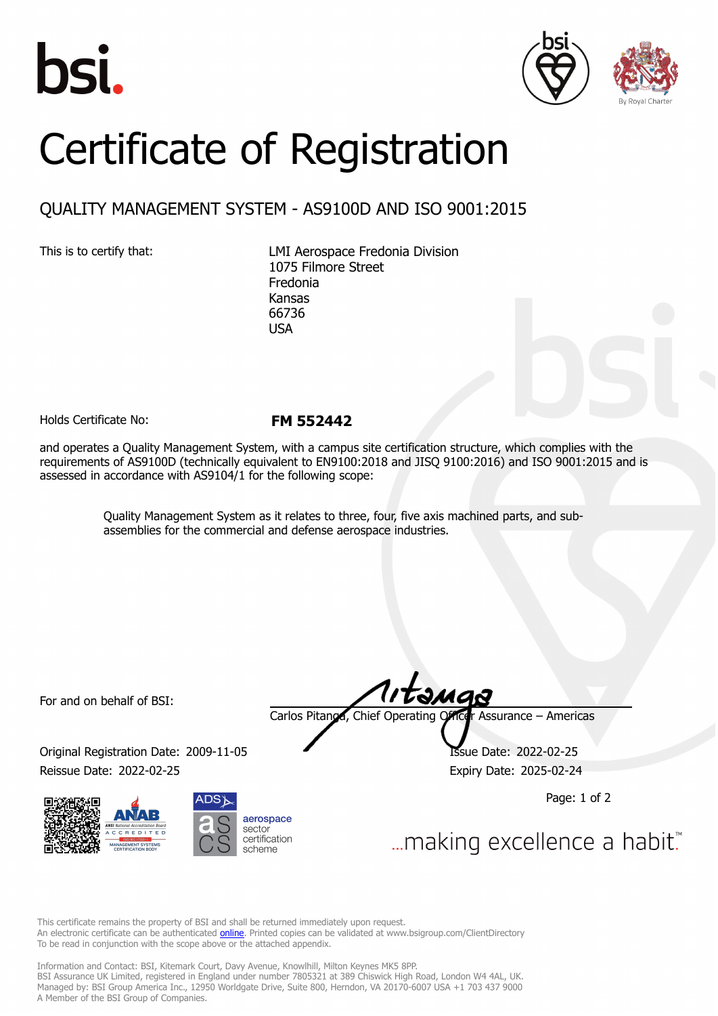





## Certificate of Registration

## QUALITY MANAGEMENT SYSTEM - AS9100D AND ISO 9001:2015

This is to certify that: LMI Aerospace Fredonia Division 1075 Filmore Street Fredonia Kansas 66736 USA

Holds Certificate No: **FM 552442**

and operates a Quality Management System, with a campus site certification structure, which complies with the requirements of AS9100D (technically equivalent to EN9100:2018 and JISQ 9100:2016) and ISO 9001:2015 and is assessed in accordance with AS9104/1 for the following scope:

> Quality Management System as it relates to three, four, five axis machined parts, and subassemblies for the commercial and defense aerospace industries.

For and on behalf of BSI:

Original Registration Date: 2009-11-05 Reissue Date: 2022-02-25 **Expiry Date: 2025-02-24** 





təmas

Carlos Pitanga, Chief Operating Officer Assurance – Americas

Page: 1 of 2

... making excellence a habit.

This certificate remains the property of BSI and shall be returned immediately upon request. An electronic certificate can be authenticated **[online](https://pgplus.bsigroup.com/CertificateValidation/CertificateValidator.aspx?CertificateNumber=FM+552442&ReIssueDate=25%2f02%2f2022&Template=inc)**. Printed copies can be validated at www.bsigroup.com/ClientDirectory To be read in conjunction with the scope above or the attached appendix.

Information and Contact: BSI, Kitemark Court, Davy Avenue, Knowlhill, Milton Keynes MK5 8PP. BSI Assurance UK Limited, registered in England under number 7805321 at 389 Chiswick High Road, London W4 4AL, UK. Managed by: BSI Group America Inc., 12950 Worldgate Drive, Suite 800, Herndon, VA 20170-6007 USA +1 703 437 9000 A Member of the BSI Group of Companies.